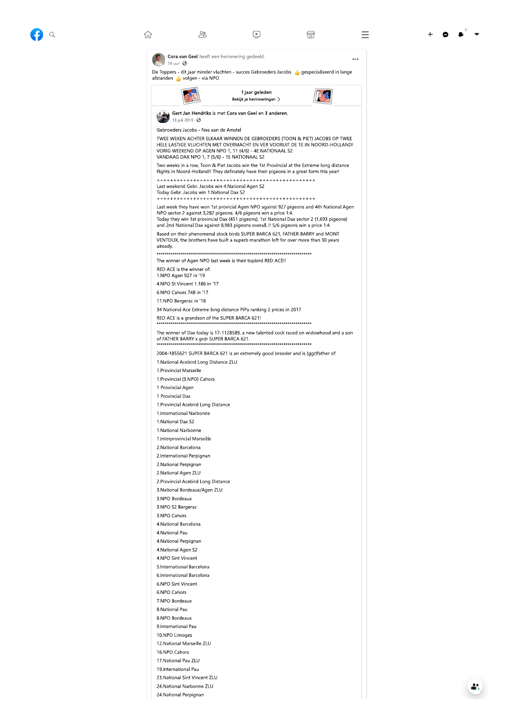28

 $\boxed{\triangleright}$ 



 $\bullet$   $\bullet$ 

 $\equiv$ 

 $\ddotsc$